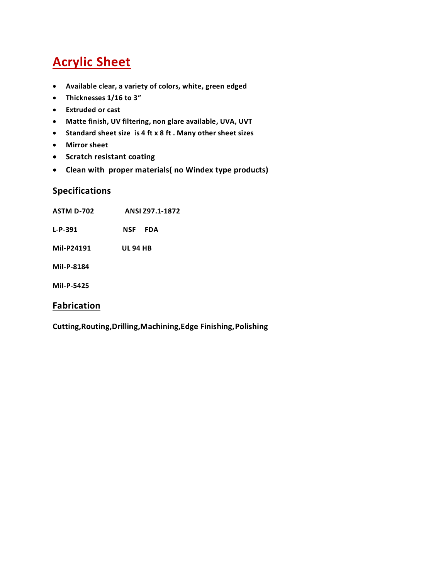## **Acrylic Sheet**

- **Available clear, a variety of colors, white, green edged**
- **Thicknesses 1/16 to 3"**
- **Extruded or cast**
- **Matte finish, UV filtering, non glare available, UVA, UVT**
- **Standard sheet size is 4 ft x 8 ft . Many other sheet sizes**
- **Mirror sheet**
- **•** Scratch resistant coating
- **Clean with proper materials( no Windex type products)**

#### **Specifications**

- **ASTM D-702 ANSI Z97.1-1872**
- **L-P-391 NSF FDA**
- **Mil-P24191 UL 94 HB**
- **Mil-P-8184**
- **Mil-P-5425**

#### **Fabrication**

**Cutting,Routing,Drilling,Machining,Edge Finishing,Polishing**